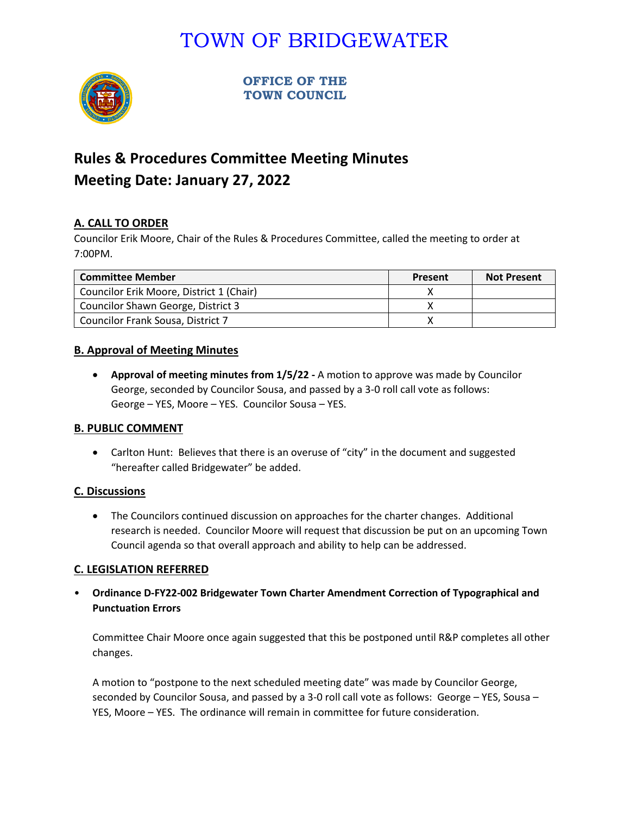# TOWN OF BRIDGEWATER



**OFFICE OF THE TOWN COUNCIL**

## **Rules & Procedures Committee Meeting Minutes Meeting Date: January 27, 2022**

### **A. CALL TO ORDER**

Councilor Erik Moore, Chair of the Rules & Procedures Committee, called the meeting to order at 7:00PM.

| <b>Committee Member</b>                  | Present | <b>Not Present</b> |
|------------------------------------------|---------|--------------------|
| Councilor Erik Moore, District 1 (Chair) |         |                    |
| Councilor Shawn George, District 3       |         |                    |
| Councilor Frank Sousa, District 7        |         |                    |

### **B. Approval of Meeting Minutes**

• **Approval of meeting minutes from 1/5/22 -** A motion to approve was made by Councilor George, seconded by Councilor Sousa, and passed by a 3-0 roll call vote as follows: George – YES, Moore – YES. Councilor Sousa – YES.

#### **B. PUBLIC COMMENT**

• Carlton Hunt: Believes that there is an overuse of "city" in the document and suggested "hereafter called Bridgewater" be added.

#### **C. Discussions**

• The Councilors continued discussion on approaches for the charter changes. Additional research is needed. Councilor Moore will request that discussion be put on an upcoming Town Council agenda so that overall approach and ability to help can be addressed.

#### **C. LEGISLATION REFERRED**

• **Ordinance D-FY22-002 Bridgewater Town Charter Amendment Correction of Typographical and Punctuation Errors**

Committee Chair Moore once again suggested that this be postponed until R&P completes all other changes.

A motion to "postpone to the next scheduled meeting date" was made by Councilor George, seconded by Councilor Sousa, and passed by a 3-0 roll call vote as follows: George – YES, Sousa – YES, Moore – YES. The ordinance will remain in committee for future consideration.